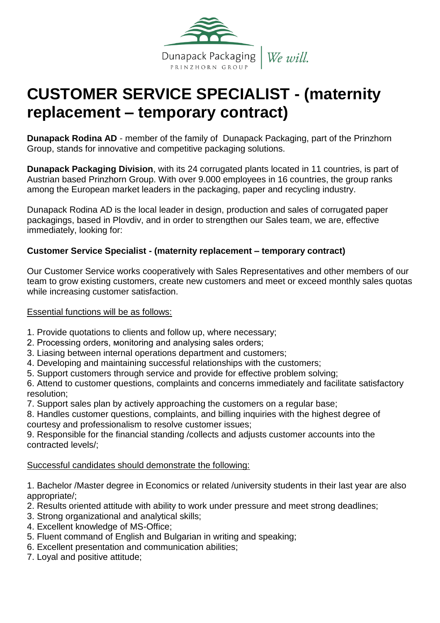

# **CUSTOMER SERVICE SPECIALIST - (maternity replacement – temporary contract)**

**Dunapack Rodina AD** - member of the family of Dunapack Packaging, part of the Prinzhorn Group, stands for innovative and competitive packaging solutions.

**Dunapack Packaging Division**, with its 24 corrugated plants located in 11 countries, is part of Austrian based Prinzhorn Group. With over 9.000 employees in 16 countries, the group ranks among the European market leaders in the packaging, paper and recycling industry.

Dunapack Rodina AD is the local leader in design, production and sales of corrugated paper packagings, based in Plovdiv, and in order to strengthen our Sales team, we are, effective immediately, looking for:

## **Customer Service Specialist - (maternity replacement – temporary contract)**

Our Customer Service works cooperatively with Sales Representatives and other members of our team to grow existing customers, create new customers and meet or exceed monthly sales quotas while increasing customer satisfaction.

#### Essential functions will be as follows:

- 1. Provide quotations to clients and follow up, where necessary;
- 2. Processing orders, мonitoring and analysing sales orders;
- 3. Liasing between internal operations department and customers;
- 4. Developing and maintaining successful relationships with the customers;
- 5. Support customers through service and provide for effective problem solving;

6. Attend to customer questions, complaints and concerns immediately and facilitate satisfactory resolution;

7. Support sales plan by actively approaching the customers on a regular base;

8. Handles customer questions, complaints, and billing inquiries with the highest degree of courtesy and professionalism to resolve customer issues;

9. Responsible for the financial standing /collects and adjusts customer accounts into the contracted levels/;

Successful candidates should demonstrate the following:

1. Bachelor /Master degree in Economics or related /university students in their last year are also appropriate/;

- 2. Results oriented attitude with ability to work under pressure and meet strong deadlines;
- 3. Strong organizational and analytical skills;
- 4. Excellent knowledge of MS-Office;
- 5. Fluent command of English and Bulgarian in writing and speaking;
- 6. Excellent presentation and communication abilities;
- 7. Loyal and positive attitude;